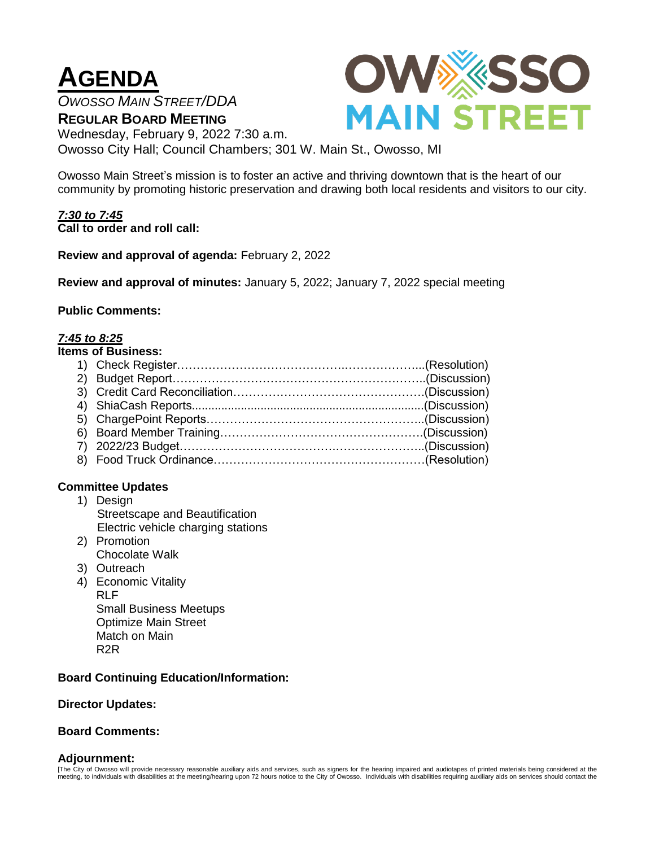# **AGENDA**

*OWOSSO MAIN STREET/DDA*

**OWXXSSO MAIN STREET** 

**REGULAR BOARD MEETING** Wednesday, February 9, 2022 7:30 a.m. Owosso City Hall; Council Chambers; 301 W. Main St., Owosso, MI

Owosso Main Street's mission is to foster an active and thriving downtown that is the heart of our community by promoting historic preservation and drawing both local residents and visitors to our city.

*7:30 to 7:45* **Call to order and roll call:**

**Review and approval of agenda:** February 2, 2022

**Review and approval of minutes:** January 5, 2022; January 7, 2022 special meeting

### **Public Comments:**

### *7:45 to 8:25*

| <b>Items of Business:</b> |  |  |
|---------------------------|--|--|
|                           |  |  |
|                           |  |  |
|                           |  |  |
|                           |  |  |
|                           |  |  |
|                           |  |  |
|                           |  |  |
|                           |  |  |

# **Committee Updates**

- 1) Design Streetscape and Beautification Electric vehicle charging stations
- 2) Promotion Chocolate Walk
- 3) Outreach
- 4) Economic Vitality RLF Small Business Meetups Optimize Main Street Match on Main R2R

# **Board Continuing Education/Information:**

#### **Director Updates:**

#### **Board Comments:**

#### **Adjournment:**

[The City of Owosso will provide necessary reasonable auxiliary aids and services, such as signers for the hearing impaired and audiotapes of printed materials being considered at the<br>meeting, to individuals with disabilit